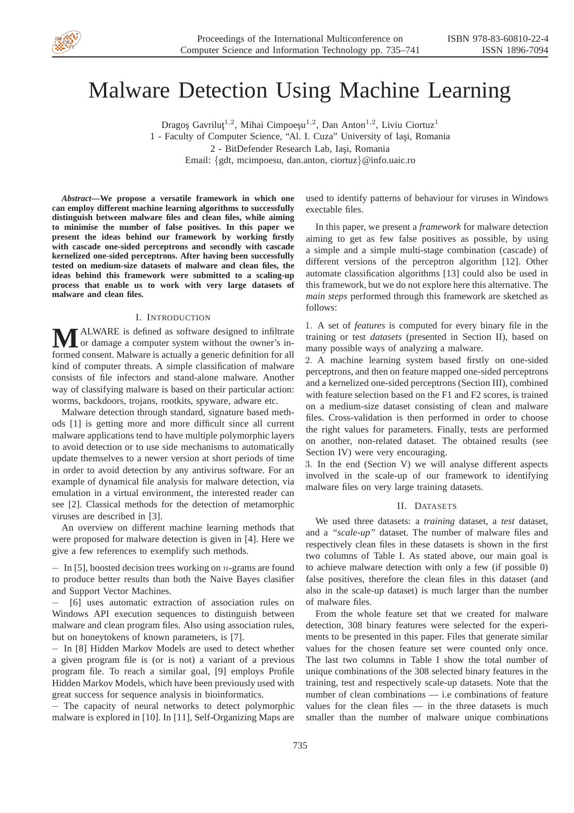

# Malware Detection Using Machine Learning

Dragoş Gavriluţ<sup>1,2</sup>, Mihai Cimpoeşu<sup>1,2</sup>, Dan Anton<sup>1,2</sup>, Liviu Ciortuz<sup>1</sup> 1 - Faculty of Computer Science, "Al. I. Cuza" University of Iași, Romania 2 - BitDefender Research Lab, Iasi, Romania

Email: {gdt, mcimpoesu, dan.anton, ciortuz}@info.uaic.ro

*Abstract***—We propose a versatile framework in which one can employ different machine learning algorithms to successfully distinguish between malware files and clean files, while aiming to minimise the number of false positives. In this paper we present the ideas behind our framework by working firstly with cascade one-sided perceptrons and secondly with cascade kernelized one-sided perceptrons. After having been successfully tested on medium-size datasets of malware and clean files, the ideas behind this framework were submitted to a scaling-up process that enable us to work with very large datasets of malware and clean files.**

## I. INTRODUCTION

ALWARE is defined as software designed to infiltrate or damage a computer system without the owner's informed consent. Malware is actually a generic definition for all kind of computer threats. A simple classification of malware consists of file infectors and stand-alone malware. Another way of classifying malware is based on their particular action: worms, backdoors, trojans, rootkits, spyware, adware etc.

Malware detection through standard, signature based methods [1] is getting more and more difficult since all current malware applications tend to have multiple polymorphic layers to avoid detection or to use side mechanisms to automatically update themselves to a newer version at short periods of time in order to avoid detection by any antivirus software. For an example of dynamical file analysis for malware detection, via emulation in a virtual environment, the interested reader can see [2]. Classical methods for the detection of metamorphic viruses are described in [3].

An overview on different machine learning methods that were proposed for malware detection is given in [4]. Here we give a few references to exemplify such methods.

− In [5], boosted decision trees working on *n*-grams are found to produce better results than both the Naive Bayes clasifier and Support Vector Machines.

− [6] uses automatic extraction of association rules on Windows API execution sequences to distinguish between malware and clean program files. Also using association rules, but on honeytokens of known parameters, is [7].

− In [8] Hidden Markov Models are used to detect whether a given program file is (or is not) a variant of a previous program file. To reach a similar goal, [9] employs Profile Hidden Markov Models, which have been previously used with great success for sequence analysis in bioinformatics.

− The capacity of neural networks to detect polymorphic malware is explored in [10]. In [11], Self-Organizing Maps are used to identify patterns of behaviour for viruses in Windows exectable files.

In this paper, we present a *framework* for malware detection aiming to get as few false positives as possible, by using a simple and a simple multi-stage combination (cascade) of different versions of the perceptron algorithm [12]. Other automate classification algorithms [13] could also be used in this framework, but we do not explore here this alternative. The *main steps* performed through this framework are sketched as follows:

1. A set of *features* is computed for every binary file in the training or test *datasets* (presented in Section II), based on many possible ways of analyzing a malware.

2. A machine learning system based firstly on one-sided perceptrons, and then on feature mapped one-sided perceptrons and a kernelized one-sided perceptrons (Section III), combined with feature selection based on the F1 and F2 scores, is trained on a medium-size dataset consisting of clean and malware files. Cross-validation is then performed in order to choose the right values for parameters. Finally, tests are performed on another, non-related dataset. The obtained results (see Section IV) were very encouraging.

3. In the end (Section V) we will analyse different aspects involved in the scale-up of our framework to identifying malware files on very large training datasets.

## II. DATASETS

We used three datasets: a *training* dataset, a *test* dataset, and a *"scale-up"* dataset. The number of malware files and respectively clean files in these datasets is shown in the first two columns of Table I. As stated above, our main goal is to achieve malware detection with only a few (if possible 0) false positives, therefore the clean files in this dataset (and also in the scale-up dataset) is much larger than the number of malware files.

From the whole feature set that we created for malware detection, 308 binary features were selected for the experiments to be presented in this paper. Files that generate similar values for the chosen feature set were counted only once. The last two columns in Table I show the total number of unique combinations of the 308 selected binary features in the training, test and respectively scale-up datasets. Note that the number of clean combinations — i.e combinations of feature values for the clean files  $-$  in the three datasets is much smaller than the number of malware unique combinations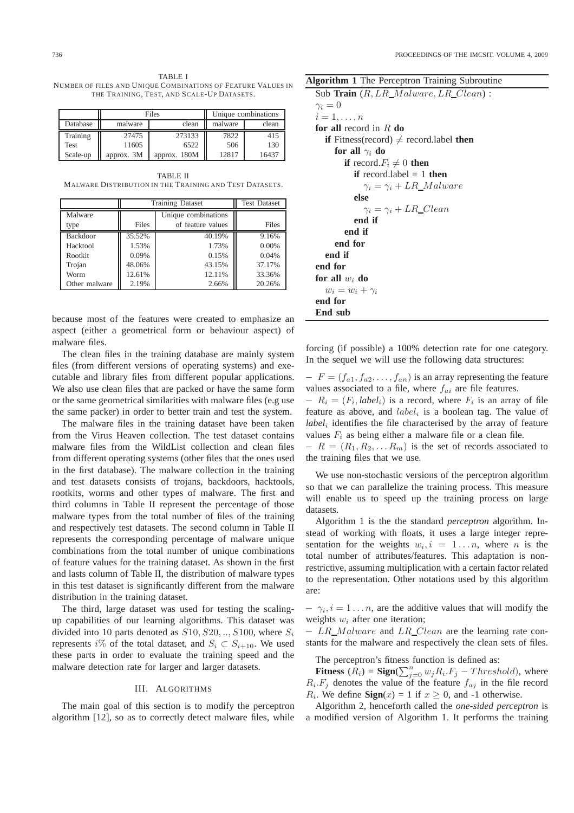TABLE I NUMBER OF FILES AND UNIQUE COMBINATIONS OF FEATURE VALUES IN THE TRAINING, TEST, AND SCALE-UP DATASETS.

|          |            | Files        |         | Unique combinations |
|----------|------------|--------------|---------|---------------------|
| Database | malware    | clean        | malware | clean               |
| Training | 27475      | 273133       | 7822    | 415                 |
| Test     | 11605      | 6522         | 506     | 130                 |
| Scale-up | approx. 3M | approx. 180M | 12817   | 16437               |

TABLE II MALWARE DISTRIBUTION IN THE TRAINING AND TEST DATASETS.

|               | <b>Training Dataset</b> | <b>Test Dataset</b> |          |
|---------------|-------------------------|---------------------|----------|
| Malware       |                         | Unique combinations |          |
| type          | Files                   | of feature values   | Files    |
| Backdoor      | 35.52%                  | 40.19%              | 9.16%    |
| Hacktool      | 1.53%                   | 1.73%               | $0.00\%$ |
| Rootkit       | 0.09%                   | 0.15%               | 0.04%    |
| Trojan        | 48.06%                  | 43.15%              | 37.17%   |
| Worm          | 12.61%                  | 12.11%              | 33.36%   |
| Other malware | 2.19%                   | 2.66%               | 20.26%   |

because most of the features were created to emphasize an aspect (either a geometrical form or behaviour aspect) of malware files.

The clean files in the training database are mainly system files (from different versions of operating systems) and executable and library files from different popular applications. We also use clean files that are packed or have the same form or the same geometrical similarities with malware files (e.g use the same packer) in order to better train and test the system.

The malware files in the training dataset have been taken from the Virus Heaven collection. The test dataset contains malware files from the WildList collection and clean files from different operating systems (other files that the ones used in the first database). The malware collection in the training and test datasets consists of trojans, backdoors, hacktools, rootkits, worms and other types of malware. The first and third columns in Table II represent the percentage of those malware types from the total number of files of the training and respectively test datasets. The second column in Table II represents the corresponding percentage of malware unique combinations from the total number of unique combinations of feature values for the training dataset. As shown in the first and lasts column of Table II, the distribution of malware types in this test dataset is significantly different from the malware distribution in the training dataset.

The third, large dataset was used for testing the scalingup capabilities of our learning algorithms. This dataset was divided into 10 parts denoted as  $S10, S20, \ldots, S100$ , where  $S_i$ represents i% of the total dataset, and  $S_i \subset S_{i+10}$ . We used these parts in order to evaluate the training speed and the malware detection rate for larger and larger datasets.

#### III. ALGORITHMS

The main goal of this section is to modify the perceptron algorithm [12], so as to correctly detect malware files, while

**Algorithm 1** The Perceptron Training Subroutine

Sub **Train**  $(R, LR \text{ *Malware, LR \text{ } Clean)*$ :  $\gamma_i = 0$  $i=1,\ldots,n$ **for all** record in R **do if** Fitness(record)  $\neq$  record.label **then for all**  $\gamma_i$  **do if** record. $F_i \neq 0$  **then if** record.label = 1 **then**  $\gamma_i = \gamma_i + LR\_M$ alware **else**  $\gamma_i = \gamma_i + LR\_Clean$ **end if end if end for end if end for for all** w<sup>i</sup> **do**  $w_i = w_i + \gamma_i$ **end for End sub**

forcing (if possible) a 100% detection rate for one category. In the sequel we will use the following data structures:

 $-F = (f_{a1}, f_{a2}, \ldots, f_{an})$  is an array representing the feature values associated to a file, where  $f_{ai}$  are file features.  $-R_i = (F_i, label_i)$  is a record, where  $F_i$  is an array of file feature as above, and  $label_i$  is a boolean tag. The value of *label*<sup>i</sup> identifies the file characterised by the array of feature values  $F_i$  as being either a malware file or a clean file.

 $-R = (R_1, R_2, \ldots R_m)$  is the set of records associated to the training files that we use.

We use non-stochastic versions of the perceptron algorithm so that we can parallelize the training process. This measure will enable us to speed up the training process on large datasets.

Algorithm 1 is the the standard *perceptron* algorithm. Instead of working with floats, it uses a large integer representation for the weights  $w_i, i = 1...n$ , where *n* is the total number of attributes/features. This adaptation is nonrestrictive, assuming multiplication with a certain factor related to the representation. Other notations used by this algorithm are:

 $- \gamma_i, i = 1 \dots n$ , are the additive values that will modify the weights  $w_i$  after one iteration;

− LR Malware and LR Clean are the learning rate constants for the malware and respectively the clean sets of files.

The perceptron's fitness function is defined as:

**Fitness**  $(R_i) =$  **Sign** $(\sum_{j=0}^{n} w_j R_i.F_j - Threshold)$ , where  $R_i.F_j$  denotes the value of the feature  $f_{aj}$  in the file record  $R_i$ . We define **Sign**(x) = 1 if  $x \ge 0$ , and -1 otherwise.

Algorithm 2, henceforth called the *one-sided perceptron* is a modified version of Algorithm 1. It performs the training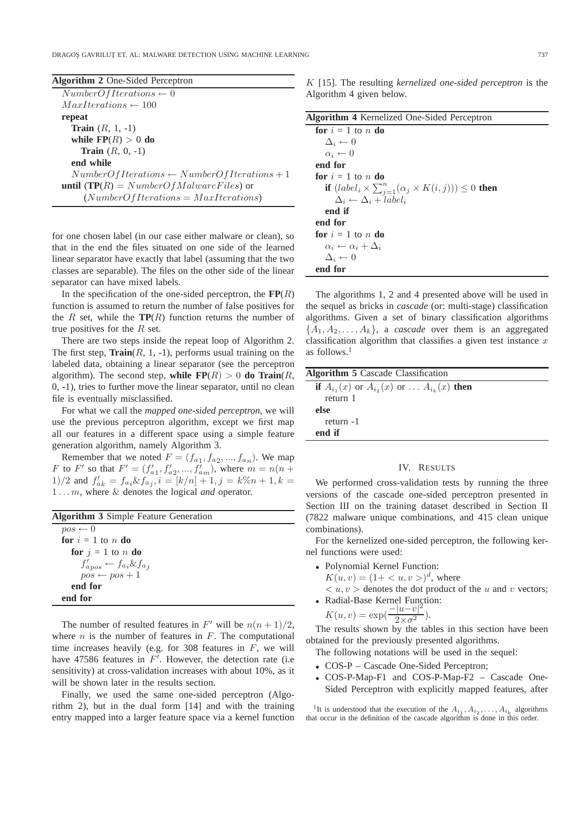DRAGOS GAVRILUT ET. AL: MALWARE DETECTION USING MACHINE LEARNING 7373737

| <b>Algorithm 2</b> One-Sided Perceptron                 |
|---------------------------------------------------------|
| $NumberOf Iterations \leftarrow 0$                      |
| $MaxIterations \leftarrow 100$                          |
| repeat                                                  |
| <b>Train</b> $(R, 1, -1)$                               |
| while $\mathbf{FP}(R) > 0$ do                           |
| <b>Train</b> $(R, 0, -1)$                               |
| end while                                               |
| $NumberOf Iterations \leftarrow NumberOfIterations + 1$ |
| <b>until</b> (TP(R) = $NumberOfMalware Files$ ) or      |
| $(NumberOf Iterations = MaxIterations)$                 |

for one chosen label (in our case either malware or clean), so that in the end the files situated on one side of the learned linear separator have exactly that label (assuming that the two classes are separable). The files on the other side of the linear separator can have mixed labels.

In the specification of the one-sided perceptron, the  $\mathbf{FP}(R)$ function is assumed to return the number of false positives for the R set, while the  $TP(R)$  function returns the number of true positives for the  $R$  set.

There are two steps inside the repeat loop of Algorithm 2. The first step,  $\text{Train}(R, 1, -1)$ , performs usual training on the labeled data, obtaining a linear separator (see the perceptron algorithm). The second step, while  $\mathbf{FP}(R) > 0$  do  $\text{Train}(R,$ 0, -1), tries to further move the linear separator, until no clean file is eventually misclassified.

For what we call the *mapped one-sided perceptron*, we will use the previous perceptron algorithm, except we first map all our features in a different space using a simple feature generation algorithm, namely Algorithm 3.

Remember that we noted  $F = (f_{a_1}, f_{a_2}, ..., f_{a_n})$ . We map F to F' so that  $F' = (f'_{a_1}, f'_{a_2},..., f'_{a_m})$ , where  $m = n(n+1)$ 1)/2 and  $f'_{ak} = f_{ai} \& f_{aj}$ ,  $i = [k/n] + 1$ ,  $j = k\%n + 1$ ,  $k =$ 1 . . . m, where & denotes the logical *and* operator.

| <b>Algorithm 3</b> Simple Feature Generation |  |  |  |  |
|----------------------------------------------|--|--|--|--|
| $pos \leftarrow 0$                           |  |  |  |  |
| for $i = 1$ to n do                          |  |  |  |  |
| for $i = 1$ to n do                          |  |  |  |  |
| $f_{a pos}' \leftarrow f_{a i} \& f_{a j}$   |  |  |  |  |
|                                              |  |  |  |  |
| end for                                      |  |  |  |  |
| end for                                      |  |  |  |  |
| $pos \leftarrow pos + 1$                     |  |  |  |  |

The number of resulted features in  $F'$  will be  $n(n+1)/2$ , where  $n$  is the number of features in  $F$ . The computational time increases heavily (e.g. for 308 features in  $F$ , we will have 47586 features in  $F'$ . However, the detection rate (i.e. sensitivity) at cross-validation increases with about 10%, as it will be shown later in the results section.

Finally, we used the same one-sided perceptron (Algorithm 2), but in the dual form [14] and with the training entry mapped into a larger feature space via a kernel function K [15]. The resulting *kernelized one-sided perceptron* is the Algorithm 4 given below.

The algorithms 1, 2 and 4 presented above will be used in the sequel as bricks in *cascade* (or: multi-stage) classification algorithms. Given a set of binary classification algorithms  $\{A_1, A_2, \ldots, A_k\}$ , a *cascade* over them is an aggregated classification algorithm that classifies a given test instance  $x$ as follows.<sup>1</sup>

| <b>Algorithm 5</b> Cascade Classification                   |  |
|-------------------------------------------------------------|--|
| if $A_{i_1}(x)$ or $A_{i_2}(x)$ or $\ldots A_{i_k}(x)$ then |  |
| return 1                                                    |  |
| else                                                        |  |
| return -1                                                   |  |
| end if                                                      |  |

#### IV. RESULTS

We performed cross-validation tests by running the three versions of the cascade one-sided perceptron presented in Section III on the training dataset described in Section II (7822 malware unique combinations, and 415 clean unique combinations).

For the kernelized one-sided perceptron, the following kernel functions were used:

- Polynomial Kernel Function:
	- $K(u, v) = (1 + \langle u, v \rangle)^d$ , where
- $\langle u, v \rangle$  denotes the dot product of the u and v vectors;
- Radial-Base Kernel Function:

$$
K(u, v) = \exp\left(\frac{-|u - v|^2}{2 \times \sigma^2}\right).
$$

The results shown by the tables in this section have been obtained for the previously presented algorithms.

The following notations will be used in the sequel:

- COS-P Cascade One-Sided Perceptron;
- COS-P-Map-F1 and COS-P-Map-F2 Cascade One-Sided Perceptron with explicitly mapped features, after

<sup>1</sup>It is understood that the execution of the  $A_{i_1}, A_{i_2}, \ldots, A_{i_k}$  algorithms that occur in the definition of the cascade algorithm is done in this order.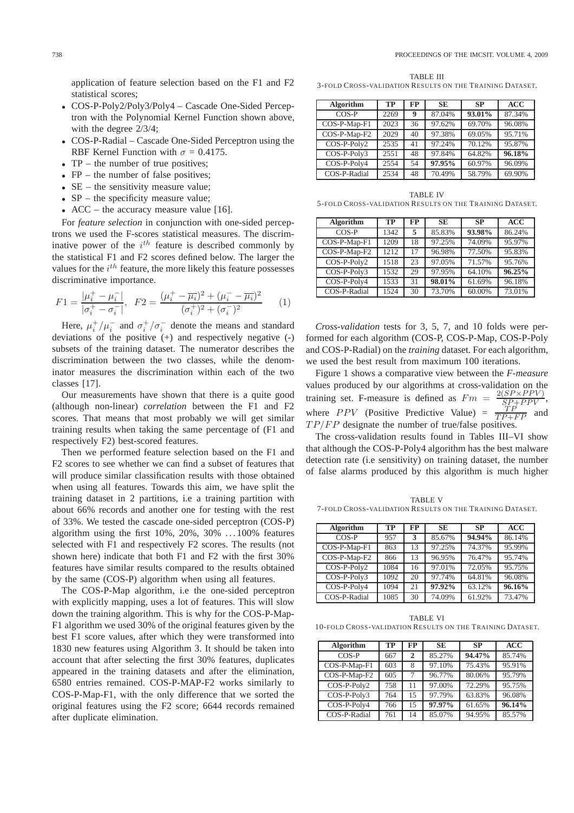application of feature selection based on the F1 and F2 statistical scores;

- COS-P-Poly2/Poly3/Poly4 Cascade One-Sided Perceptron with the Polynomial Kernel Function shown above, with the degree 2/3/4;
- COS-P-Radial Cascade One-Sided Perceptron using the RBF Kernel Function with  $\sigma = 0.4175$ .
- TP the number of true positives;
- $FP -$  the number of false positives:
- SE the sensitivity measure value;
- SP the specificity measure value;
- ACC the accuracy measure value [16].

For *feature selection* in conjunction with one-sided perceptrons we used the F-scores statistical measures. The discriminative power of the  $i^{th}$  feature is described commonly by the statistical F1 and F2 scores defined below. The larger the values for the  $i^{th}$  feature, the more likely this feature possesses discriminative importance.

$$
F1 = \frac{|\mu_i^+ - \mu_i^-|}{|\sigma_i^+ - \sigma_i^-|}, \quad F2 = \frac{(\mu_i^+ - \overline{\mu_i})^2 + (\mu_i^- - \overline{\mu_i})^2}{(\sigma_i^+)^2 + (\sigma_i^-)^2}
$$
(1)

Here,  $\mu_i^+/\mu_i^-$  and  $\sigma_i^+/\sigma_i^-$  denote the means and standard deviations of the positive  $(+)$  and respectively negative  $(-)$ subsets of the training dataset. The numerator describes the discrimination between the two classes, while the denominator measures the discrimination within each of the two classes [17].

Our measurements have shown that there is a quite good (although non-linear) *correlation* between the F1 and F2 scores. That means that most probably we will get similar training results when taking the same percentage of (F1 and respectively F2) best-scored features.

Then we performed feature selection based on the F1 and F2 scores to see whether we can find a subset of features that will produce similar classification results with those obtained when using all features. Towards this aim, we have split the training dataset in 2 partitions, i.e a training partition with about 66% records and another one for testing with the rest of 33%. We tested the cascade one-sided perceptron (COS-P) algorithm using the first  $10\%, 20\%, 30\% \ldots 100\%$  features selected with F1 and respectively F2 scores. The results (not shown here) indicate that both F1 and F2 with the first 30% features have similar results compared to the results obtained by the same (COS-P) algorithm when using all features.

The COS-P-Map algorithm, i.e the one-sided perceptron with explicitly mapping, uses a lot of features. This will slow down the training algorithm. This is why for the COS-P-Map-F1 algorithm we used 30% of the original features given by the best F1 score values, after which they were transformed into 1830 new features using Algorithm 3. It should be taken into account that after selecting the first 30% features, duplicates appeared in the training datasets and after the elimination, 6580 entries remained. COS-P-MAP-F2 works similarly to COS-P-Map-F1, with the only difference that we sorted the original features using the F2 score; 6644 records remained after duplicate elimination.

TABLE III 3-FOLD CROSS-VALIDATION RESULTS ON THE TRAINING DATASET.

| Algorithm    | <b>TP</b> | FP | <b>SE</b> | <b>SP</b> | <b>ACC</b> |
|--------------|-----------|----|-----------|-----------|------------|
| $COS-P$      | 2269      | 9  | 87.04%    | 93.01%    | 87.34%     |
| COS-P-Map-F1 | 2023      | 36 | 97.62%    | 69.70%    | 96.08%     |
| COS-P-Map-F2 | 2029      | 40 | 97.38%    | 69.05%    | 95.71%     |
| COS-P-Poly2  | 2535      | 41 | 97.24%    | 70.12%    | 95.87%     |
| COS-P-Poly3  | 2551      | 48 | 97.84%    | 64.82%    | 96.18%     |
| COS-P-Poly4  | 2554      | 54 | 97.95%    | 60.97%    | 96.09%     |
| COS-P-Radial | 2534      | 48 | 70.49%    | 58.79%    | 69.90%     |

TABLE IV 5-FOLD CROSS-VALIDATION RESULTS ON THE TRAINING DATASET.

| Algorithm     | TP   | <b>FP</b> | <b>SE</b> | <b>SP</b> | <b>ACC</b> |
|---------------|------|-----------|-----------|-----------|------------|
| $COS-P$       | 1342 | 5         | 85.83%    | 93.98%    | 86.24%     |
| COS-P-Map-F1  | 1209 | 18        | 97.25%    | 74.09%    | 95.97%     |
| COS-P-Map-F2  | 1212 | 17        | 96.98%    | 77.50%    | 95.83%     |
| $COS-P-Poly2$ | 1518 | 23        | 97.05%    | 71.57%    | 95.76%     |
| COS-P-Poly3   | 1532 | 29        | 97.95%    | 64.10%    | 96.25%     |
| COS-P-Poly4   | 1533 | 31        | 98.01%    | 61.69%    | 96.18%     |
| COS-P-Radial  | 1524 | 30        | 73.70%    | 60.00%    | 73.01%     |

*Cross-validation* tests for 3, 5, 7, and 10 folds were performed for each algorithm (COS-P, COS-P-Map, COS-P-Poly and COS-P-Radial) on the *training* dataset. For each algorithm, we used the best result from maximum 100 iterations.

Figure 1 shows a comparative view between the *F-measure* values produced by our algorithms at cross-validation on the training set. F-measure is defined as  $Fm =$  $2(SP \times PPV)$  $S_{\overline{P}}^{\text{B}+PPV}$ where *PPV* (Positive Predictive Value) =  $\frac{TP}{TP+FP}$  and  $TP/FP$  designate the number of true/false positives.

The cross-validation results found in Tables III–VI show that although the COS-P-Poly4 algorithm has the best malware detection rate (i.e sensitivity) on training dataset, the number of false alarms produced by this algorithm is much higher

TABLE V 7-FOLD CROSS-VALIDATION RESULTS ON THE TRAINING DATASET.

| Algorithm     | <b>TP</b> | FP | <b>SE</b> | <b>SP</b> | ACC    |
|---------------|-----------|----|-----------|-----------|--------|
| $COS-P$       | 957       | 3  | 85.67%    | 94.94%    | 86.14% |
| COS-P-Map-F1  | 863       | 13 | 97.25%    | 74.37%    | 95.99% |
| COS-P-Map-F2  | 866       | 13 | 96.95%    | 76.47%    | 95.74% |
| $COS-P-Poly2$ | 1084      | 16 | 97.01%    | 72.05%    | 95.75% |
| COS-P-Poly3   | 1092      | 20 | 97.74%    | 64.81%    | 96.08% |
| COS-P-Poly4   | 1094      | 21 | 97.92%    | 63.12%    | 96.16% |
| COS-P-Radial  | 1085      | 30 | 74.09%    | 61.92%    | 73.47% |

TABLE VI 10-FOLD CROSS-VALIDATION RESULTS ON THE TRAINING DATASET.

| <b>Algorithm</b> | TP  | FP           | <b>SE</b> | SP     | <b>ACC</b> |
|------------------|-----|--------------|-----------|--------|------------|
| $COS-P$          | 667 | $\mathbf{2}$ | 85.27%    | 94.47% | 85.74%     |
| COS-P-Map-F1     | 603 | 8            | 97.10%    | 75.43% | 95.91%     |
| COS-P-Map-F2     | 605 | 7            | 96.77%    | 80.06% | 95.79%     |
| COS-P-Poly2      | 758 | 11           | 97.00%    | 72.29% | 95.75%     |
| COS-P-Poly3      | 764 | 15           | 97.79%    | 63.83% | 96.08%     |
| COS-P-Poly4      | 766 | 15           | 97.97%    | 61.65% | 96.14%     |
| COS-P-Radial     | 761 | 14           | 85.07%    | 94.95% | 85.57%     |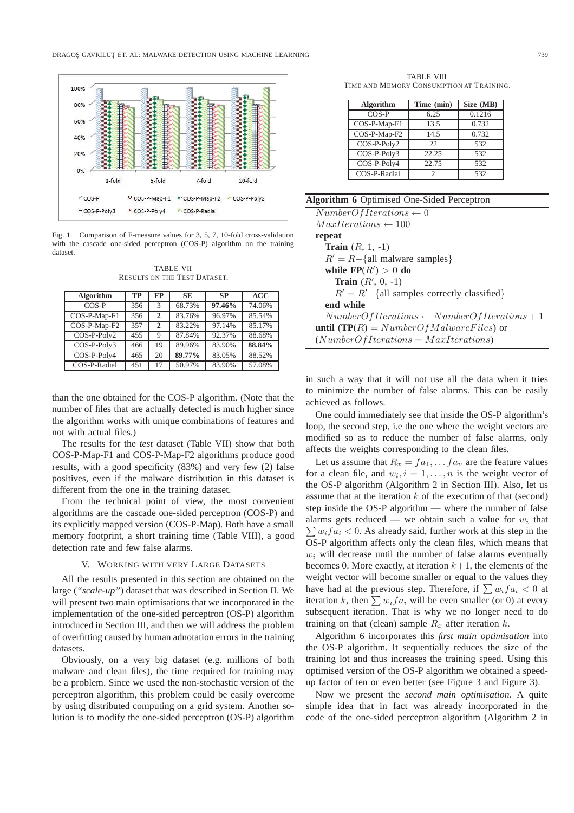

Fig. 1. Comparison of F-measure values for 3, 5, 7, 10-fold cross-validation with the cascade one-sided perceptron (COS-P) algorithm on the training dataset.

TABLE VII RESULTS ON THE TEST DATASET.

| Algorithm    | <b>TP</b> | <b>FP</b>      | <b>SE</b> | <b>SP</b> | <b>ACC</b> |
|--------------|-----------|----------------|-----------|-----------|------------|
| $COS-P$      | 356       | 3              | 68.73%    | 97.46%    | 74.06%     |
| COS-P-Map-F1 | 356       | $\overline{2}$ | 83.76%    | 96.97%    | 85.54%     |
| COS-P-Map-F2 | 357       | $\mathbf{2}$   | 83.22%    | 97.14%    | 85.17%     |
| COS-P-Poly2  | 455       | $\mathbf Q$    | 87.84%    | 92.37%    | 88.68%     |
| COS-P-Poly3  | 466       | 19             | 89.96%    | 83.90%    | 88.84%     |
| COS-P-Poly4  | 465       | 20             | 89.77%    | 83.05%    | 88.52%     |
| COS-P-Radial | 451       | 17             | 50.97%    | 83.90%    | 57.08%     |

than the one obtained for the COS-P algorithm. (Note that the number of files that are actually detected is much higher since the algorithm works with unique combinations of features and not with actual files.)

The results for the *test* dataset (Table VII) show that both COS-P-Map-F1 and COS-P-Map-F2 algorithms produce good results, with a good specificity (83%) and very few (2) false positives, even if the malware distribution in this dataset is different from the one in the training dataset.

From the technical point of view, the most convenient algorithms are the cascade one-sided perceptron (COS-P) and its explicitly mapped version (COS-P-Map). Both have a small memory footprint, a short training time (Table VIII), a good detection rate and few false alarms.

#### V. WORKING WITH VERY LARGE DATASETS

All the results presented in this section are obtained on the large (*"scale-up"*) dataset that was described in Section II. We will present two main optimisations that we incorporated in the implementation of the one-sided perceptron (OS-P) algorithm introduced in Section III, and then we will address the problem of overfitting caused by human adnotation errors in the training datasets.

Obviously, on a very big dataset (e.g. millions of both malware and clean files), the time required for training may be a problem. Since we used the non-stochastic version of the perceptron algorithm, this problem could be easily overcome by using distributed computing on a grid system. Another solution is to modify the one-sided perceptron (OS-P) algorithm

TABLE VIII TIME AND MEMORY CONSUMPTION AT TRAINING.

| Algorithm                        | Time (min) | Size (MB) |
|----------------------------------|------------|-----------|
| $COS-P$                          | 6.25       | 0.1216    |
| COS-P-Map-F1                     | 13.5       | 0.732     |
| $\overline{\text{COS-P-Map-F2}}$ | 14.5       | 0.732     |
| $\overline{\text{CO}}$ S-P-Poly2 | 22.        | 532       |
| COS-P-Poly3                      | 22.25      | 532       |
| $\overline{\text{COS-P}}$ -Poly4 | 22.75      | 532       |
| COS-P-Radial                     | 2          | 532       |

# **Algorithm 6** Optimised One-Sided Perceptron

| $NumberOf Iterations \leftarrow 0$                       |
|----------------------------------------------------------|
| $MaxIterations \leftarrow 100$                           |
| repeat                                                   |
| <b>Train</b> $(R, 1, -1)$                                |
| $R' = R - \{ \text{all mature samples} \}$               |
| while $\mathbf{FP}(R') > 0$ do                           |
| <b>Train</b> $(R', 0, -1)$                               |
| $R' = R' - \{all samples correctly classified\}$         |
| end while                                                |
| $NumberOf Iterations \leftarrow NumberOf Iterations + 1$ |
| <b>until</b> (TP(R) = $NumberOfMalware Files$ ) or       |
| $(NumberOf Iterations = MaxIterations)$                  |
|                                                          |

in such a way that it will not use all the data when it tries to minimize the number of false alarms. This can be easily achieved as follows.

One could immediately see that inside the OS-P algorithm's loop, the second step, i.e the one where the weight vectors are modified so as to reduce the number of false alarms, only affects the weights corresponding to the clean files.

Let us assume that  $R_x = fa_1, \ldots fa_n$  are the feature values for a clean file, and  $w_i$ ,  $i = 1, ..., n$  is the weight vector of the OS-P algorithm (Algorithm 2 in Section III). Also, let us assume that at the iteration  $k$  of the execution of that (second) step inside the OS-P algorithm — where the number of false alarms gets reduced — we obtain such a value for  $w_i$  that  $\sum w_i fa_i < 0$ . As already said, further work at this step in the OS-P algorithm affects only the clean files, which means that  $w<sub>i</sub>$  will decrease until the number of false alarms eventually becomes 0. More exactly, at iteration  $k+1$ , the elements of the weight vector will become smaller or equal to the values they have had at the previous step. Therefore, if  $\sum w_i fa_i < 0$  at iteration k, then  $\sum w_i fa_i$  will be even smaller (or 0) at every subsequent iteration. That is why we no longer need to do training on that (clean) sample  $R_x$  after iteration k.

Algorithm 6 incorporates this *first main optimisation* into the OS-P algorithm. It sequentially reduces the size of the training lot and thus increases the training speed. Using this optimised version of the OS-P algorithm we obtained a speedup factor of ten or even better (see Figure 3 and Figure 3).

Now we present the *second main optimisation*. A quite simple idea that in fact was already incorporated in the code of the one-sided perceptron algorithm (Algorithm 2 in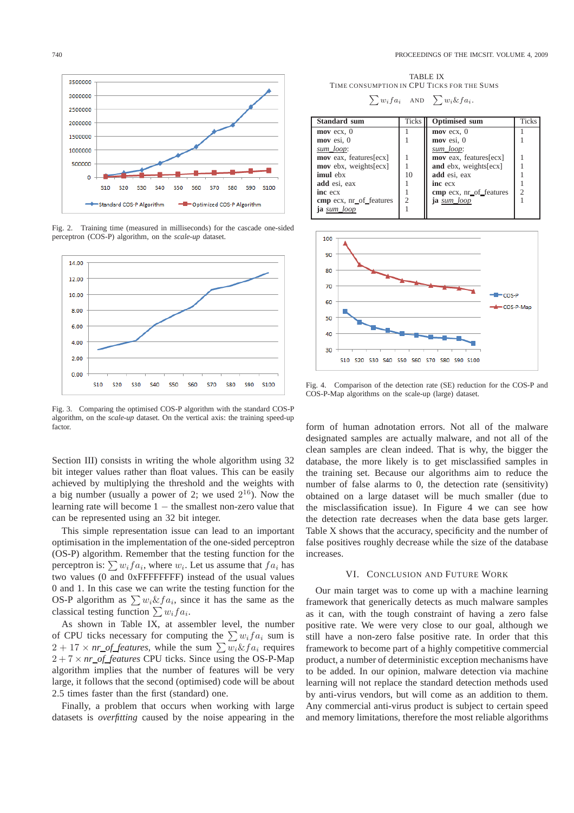740 PROCEEDINGS OF THE IMCSIT. VOLUME 4, 2009



Fig. 2. Training time (measured in milliseconds) for the cascade one-sided perceptron (COS-P) algorithm, on the *scale-up* dataset.



Fig. 3. Comparing the optimised COS-P algorithm with the standard COS-P algorithm, on the *scale-up* dataset. On the vertical axis: the training speed-up factor.

Section III) consists in writing the whole algorithm using 32 bit integer values rather than float values. This can be easily achieved by multiplying the threshold and the weights with a big number (usually a power of 2; we used  $2^{16}$ ). Now the learning rate will become 1 − the smallest non-zero value that can be represented using an 32 bit integer.

This simple representation issue can lead to an important optimisation in the implementation of the one-sided perceptron (OS-P) algorithm. Remember that the testing function for the perceptron is:  $\sum w_i fa_i$ , where  $w_i$ . Let us assume that  $fa_i$  has two values (0 and 0xFFFFFFFF) instead of the usual values 0 and 1. In this case we can write the testing function for the OS-P algorithm as  $\sum w_i \& fa_i$ , since it has the same as the classical testing function  $\sum w_i fa_i$ .

As shown in Table IX, at assembler level, the number of CPU ticks necessary for computing the  $\sum w_i fa_i$  sum is  $2 + 17 \times nr\_of$  *features*, while the sum  $\sum w_i \& fa_i$  requires  $2 + 7 \times nr\_of$  *features* CPU ticks. Since using the OS-P-Map algorithm implies that the number of features will be very large, it follows that the second (optimised) code will be about 2.5 times faster than the first (standard) one.

Finally, a problem that occurs when working with large datasets is *overfitting* caused by the noise appearing in the

TABLE IX TIME CONSUMPTION IN CPU TICKS FOR THE SUMS

| $\sum w_i fa_i$ | <b>AND</b> | $\sum w_i \& fa_i.$ |
|-----------------|------------|---------------------|
|-----------------|------------|---------------------|

| <b>Optimised sum</b><br><b>Standard sum</b><br><b>Ticks</b><br>$\bf{mov}$ ecx, 0<br>$\bf{mov}$ ecx, 0 | <b>Ticks</b> |
|-------------------------------------------------------------------------------------------------------|--------------|
|                                                                                                       |              |
|                                                                                                       |              |
| $mov$ esi, $0$<br>$mov$ esi, $0$                                                                      |              |
| sum loop:<br>sum loop:                                                                                |              |
| mov eax, features[ecx]<br><b>mov</b> eax, features [ecx]                                              |              |
| and ebx, weights[ecx]<br>mov ebx, weights[ecx]                                                        |              |
| add esi, eax<br>imul ebx<br>10                                                                        |              |
| add esi, eax<br>inc ecx                                                                               |              |
| っ<br>cmp ecx, nr_of_features<br>inc ecx                                                               |              |
| cmp ecx, nr_of_features<br>ja sum_loop                                                                |              |
| <b>ia</b> sum loop                                                                                    |              |



Fig. 4. Comparison of the detection rate (SE) reduction for the COS-P and COS-P-Map algorithms on the scale-up (large) dataset.

form of human adnotation errors. Not all of the malware designated samples are actually malware, and not all of the clean samples are clean indeed. That is why, the bigger the database, the more likely is to get misclassified samples in the training set. Because our algorithms aim to reduce the number of false alarms to 0, the detection rate (sensitivity) obtained on a large dataset will be much smaller (due to the misclassification issue). In Figure 4 we can see how the detection rate decreases when the data base gets larger. Table X shows that the accuracy, specificity and the number of false positives roughly decrease while the size of the database increases.

#### VI. CONCLUSION AND FUTURE WORK

Our main target was to come up with a machine learning framework that generically detects as much malware samples as it can, with the tough constraint of having a zero false positive rate. We were very close to our goal, although we still have a non-zero false positive rate. In order that this framework to become part of a highly competitive commercial product, a number of deterministic exception mechanisms have to be added. In our opinion, malware detection via machine learning will not replace the standard detection methods used by anti-virus vendors, but will come as an addition to them. Any commercial anti-virus product is subject to certain speed and memory limitations, therefore the most reliable algorithms